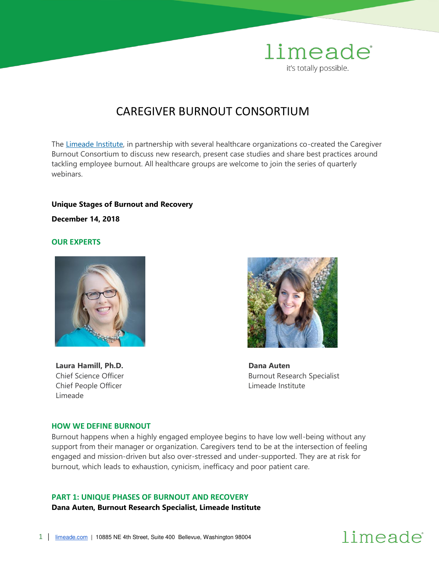

### CAREGIVER BURNOUT CONSORTIUM

The [Limeade Institute,](https://www.limeade.com/our-story/limeade-institute/) in partnership with several healthcare organizations co-created the Caregiver Burnout Consortium to discuss new research, present case studies and share best practices around tackling employee burnout. All healthcare groups are welcome to join the series of quarterly webinars.

#### **Unique Stages of Burnout and Recovery**

**December 14, 2018** 

#### **OUR EXPERTS**



**Laura Hamill, Ph.D.**  Chief Science Officer Chief People Officer Limeade



 **Dana Auten**  Burnout Research Specialist Limeade Institute

#### **HOW WE DEFINE BURNOUT**

Burnout happens when a highly engaged employee begins to have low well-being without any support from their manager or organization. Caregivers tend to be at the intersection of feeling engaged and mission-driven but also over-stressed and under-supported. They are at risk for burnout, which leads to exhaustion, cynicism, inefficacy and poor patient care.

#### **PART 1: UNIQUE PHASES OF BURNOUT AND RECOVERY**

**Dana Auten, Burnout Research Specialist, Limeade Institute**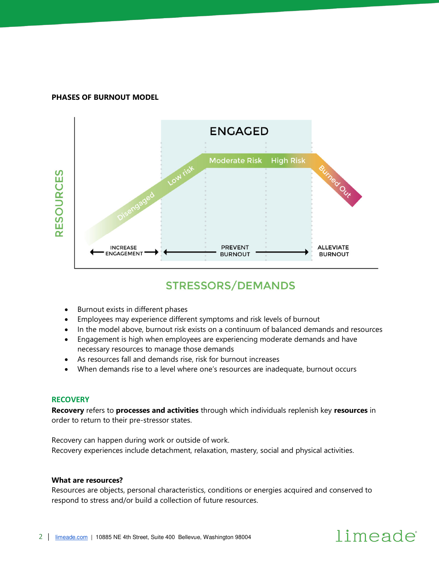#### **PHASES OF BURNOUT MODEL**



### **STRESSORS/DEMANDS**

- Burnout exists in different phases
- Employees may experience different symptoms and risk levels of burnout
- In the model above, burnout risk exists on a continuum of balanced demands and resources
- Engagement is high when employees are experiencing moderate demands and have necessary resources to manage those demands
- As resources fall and demands rise, risk for burnout increases
- When demands rise to a level where one's resources are inadequate, burnout occurs

#### **RECOVERY**

**Recovery** refers to **processes and activities** through which individuals replenish key **resources** in order to return to their pre-stressor states.

Recovery can happen during work or outside of work. Recovery experiences include detachment, relaxation, mastery, social and physical activities.

#### **What are resources?**

Resources are objects, personal characteristics, conditions or energies acquired and conserved to respond to stress and/or build a collection of future resources.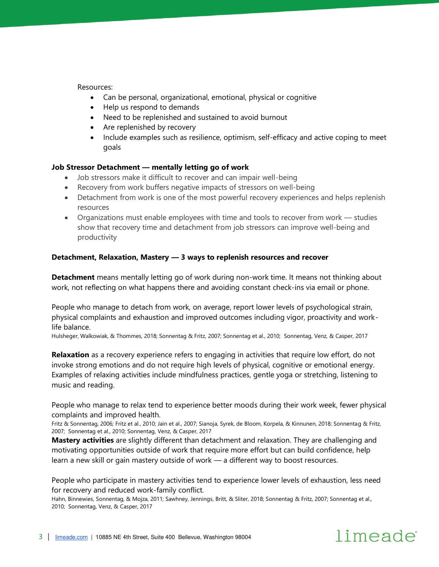Resources:

- Can be personal, organizational, emotional, physical or cognitive
- Help us respond to demands
- Need to be replenished and sustained to avoid burnout
- Are replenished by recovery
- Include examples such as resilience, optimism, self-efficacy and active coping to meet goals

#### **Job Stressor Detachment — mentally letting go of work**

- Job stressors make it difficult to recover and can impair well-being
- Recovery from work buffers negative impacts of stressors on well-being
- Detachment from work is one of the most powerful recovery experiences and helps replenish resources
- Organizations must enable employees with time and tools to recover from work studies show that recovery time and detachment from job stressors can improve well-being and productivity

#### **Detachment, Relaxation, Mastery — 3 ways to replenish resources and recover**

**Detachment** means mentally letting go of work during non-work time. It means not thinking about work, not reflecting on what happens there and avoiding constant check-ins via email or phone.

People who manage to detach from work, on average, report lower levels of psychological strain, physical complaints and exhaustion and improved outcomes including vigor, proactivity and worklife balance.

Hulsheger, Walkowiak, & Thommes, 2018; Sonnentag & Fritz, 2007; Sonnentag et al., 2010; Sonnentag, Venz, & Casper, 2017

**Relaxation** as a recovery experience refers to engaging in activities that require low effort, do not invoke strong emotions and do not require high levels of physical, cognitive or emotional energy. Examples of relaxing activities include mindfulness practices, gentle yoga or stretching, listening to music and reading.

People who manage to relax tend to experience better moods during their work week, fewer physical complaints and improved health.

Fritz & Sonnentag, 2006; Fritz et al., 2010; Jain et al., 2007; Sianoja, Syrek, de Bloom, Korpela, & Kinnunen, 2018; Sonnentag & Fritz, 2007; Sonnentag et al., 2010; Sonnentag, Venz, & Casper, 2017

**Mastery activities** are slightly different than detachment and relaxation. They are challenging and motivating opportunities outside of work that require more effort but can build confidence, help learn a new skill or gain mastery outside of work — a different way to boost resources.

People who participate in mastery activities tend to experience lower levels of exhaustion, less need for recovery and reduced work-family conflict.

Hahn, Binnewies, Sonnentag, & Mojza, 2011; Sawhney, Jennings, Britt, & Sliter, 2018; Sonnentag & Fritz, 2007; Sonnentag et al., 2010; Sonnentag, Venz, & Casper, 2017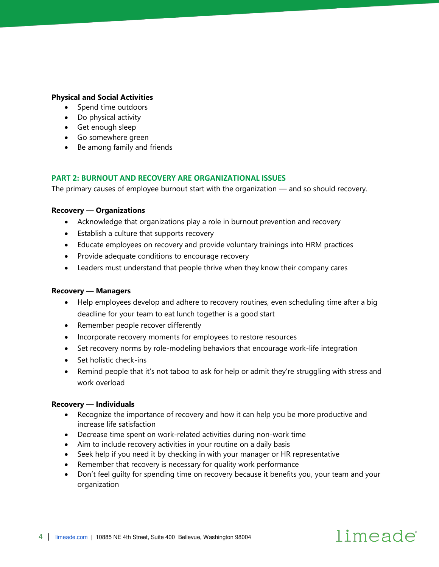#### **Physical and Social Activities**

- Spend time outdoors
- Do physical activity
- Get enough sleep
- Go somewhere green
- Be among family and friends

#### **PART 2: BURNOUT AND RECOVERY ARE ORGANIZATIONAL ISSUES**

The primary causes of employee burnout start with the organization — and so should recovery.

#### **Recovery — Organizations**

- Acknowledge that organizations play a role in burnout prevention and recovery
- Establish a culture that supports recovery
- Educate employees on recovery and provide voluntary trainings into HRM practices
- Provide adequate conditions to encourage recovery
- Leaders must understand that people thrive when they know their company cares

#### **Recovery — Managers**

- Help employees develop and adhere to recovery routines, even scheduling time after a big deadline for your team to eat lunch together is a good start
- Remember people recover differently
- Incorporate recovery moments for employees to restore resources
- Set recovery norms by role-modeling behaviors that encourage work-life integration
- Set holistic check-ins
- Remind people that it's not taboo to ask for help or admit they're struggling with stress and work overload

#### **Recovery — Individuals**

- Recognize the importance of recovery and how it can help you be more productive and increase life satisfaction
- Decrease time spent on work-related activities during non-work time
- Aim to include recovery activities in your routine on a daily basis
- Seek help if you need it by checking in with your manager or HR representative
- Remember that recovery is necessary for quality work performance
- Don't feel guilty for spending time on recovery because it benefits you, your team and your organization

limeade

#### 4 | [limeade.com](http://www.limeade.com/) | 10885 NE 4th Street, Suite 400 Bellevue, Washington 98004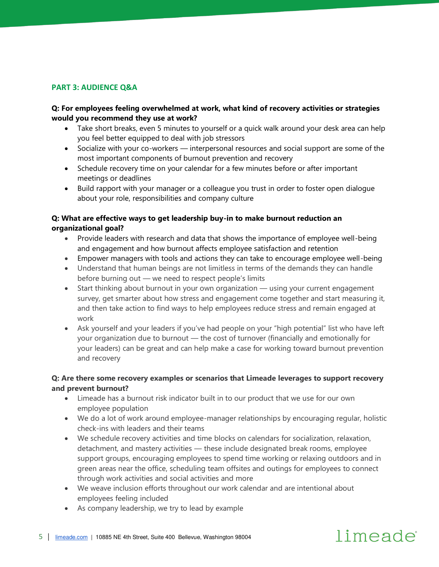#### **PART 3: AUDIENCE Q&A**

#### **Q: For employees feeling overwhelmed at work, what kind of recovery activities or strategies would you recommend they use at work?**

- Take short breaks, even 5 minutes to yourself or a quick walk around your desk area can help you feel better equipped to deal with job stressors
- Socialize with your co-workers interpersonal resources and social support are some of the most important components of burnout prevention and recovery
- Schedule recovery time on your calendar for a few minutes before or after important meetings or deadlines
- Build rapport with your manager or a colleague you trust in order to foster open dialogue about your role, responsibilities and company culture

#### **Q: What are effective ways to get leadership buy-in to make burnout reduction an organizational goal?**

- Provide leaders with research and data that shows the importance of employee well-being and engagement and how burnout affects employee satisfaction and retention
- Empower managers with tools and actions they can take to encourage employee well-being
- Understand that human beings are not limitless in terms of the demands they can handle before burning out — we need to respect people's limits
- Start thinking about burnout in your own organization using your current engagement survey, get smarter about how stress and engagement come together and start measuring it, and then take action to find ways to help employees reduce stress and remain engaged at work
- Ask yourself and your leaders if you've had people on your "high potential" list who have left your organization due to burnout — the cost of turnover (financially and emotionally for your leaders) can be great and can help make a case for working toward burnout prevention and recovery

#### **Q: Are there some recovery examples or scenarios that Limeade leverages to support recovery and prevent burnout?**

- Limeade has a burnout risk indicator built in to our product that we use for our own employee population
- We do a lot of work around employee-manager relationships by encouraging regular, holistic check-ins with leaders and their teams
- We schedule recovery activities and time blocks on calendars for socialization, relaxation, detachment, and mastery activities — these include designated break rooms, employee support groups, encouraging employees to spend time working or relaxing outdoors and in green areas near the office, scheduling team offsites and outings for employees to connect through work activities and social activities and more

limeade

- We weave inclusion efforts throughout our work calendar and are intentional about employees feeling included
- As company leadership, we try to lead by example

#### 5 | [limeade.com](http://www.limeade.com/) | 10885 NE 4th Street, Suite 400 Bellevue, Washington 98004